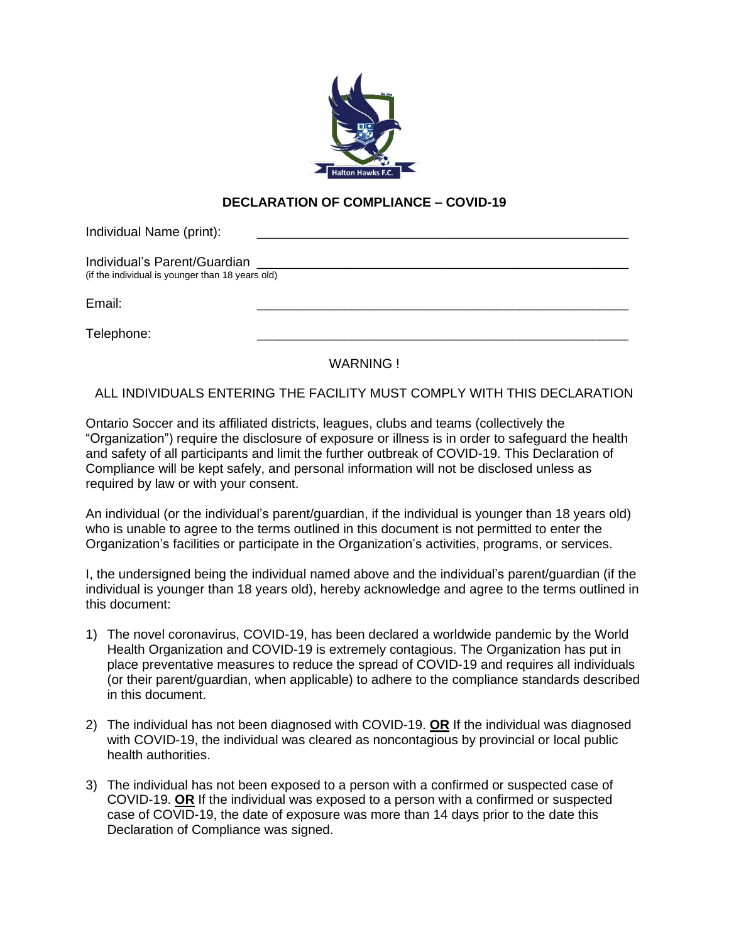

## **DECLARATION OF COMPLIANCE – COVID-19**

| Individual Name (print):                         |  |
|--------------------------------------------------|--|
| Individual's Parent/Guardian                     |  |
| (if the individual is younger than 18 years old) |  |
| Email:                                           |  |
| Telephone:                                       |  |

WARNING !

ALL INDIVIDUALS ENTERING THE FACILITY MUST COMPLY WITH THIS DECLARATION

Ontario Soccer and its affiliated districts, leagues, clubs and teams (collectively the "Organization") require the disclosure of exposure or illness is in order to safeguard the health and safety of all participants and limit the further outbreak of COVID-19. This Declaration of Compliance will be kept safely, and personal information will not be disclosed unless as required by law or with your consent.

An individual (or the individual's parent/guardian, if the individual is younger than 18 years old) who is unable to agree to the terms outlined in this document is not permitted to enter the Organization's facilities or participate in the Organization's activities, programs, or services.

I, the undersigned being the individual named above and the individual's parent/guardian (if the individual is younger than 18 years old), hereby acknowledge and agree to the terms outlined in this document:

- 1) The novel coronavirus, COVID-19, has been declared a worldwide pandemic by the World Health Organization and COVID-19 is extremely contagious. The Organization has put in place preventative measures to reduce the spread of COVID-19 and requires all individuals (or their parent/guardian, when applicable) to adhere to the compliance standards described in this document.
- 2) The individual has not been diagnosed with COVID-19. **OR** If the individual was diagnosed with COVID-19, the individual was cleared as noncontagious by provincial or local public health authorities.
- 3) The individual has not been exposed to a person with a confirmed or suspected case of COVID-19. **OR** If the individual was exposed to a person with a confirmed or suspected case of COVID-19, the date of exposure was more than 14 days prior to the date this Declaration of Compliance was signed.